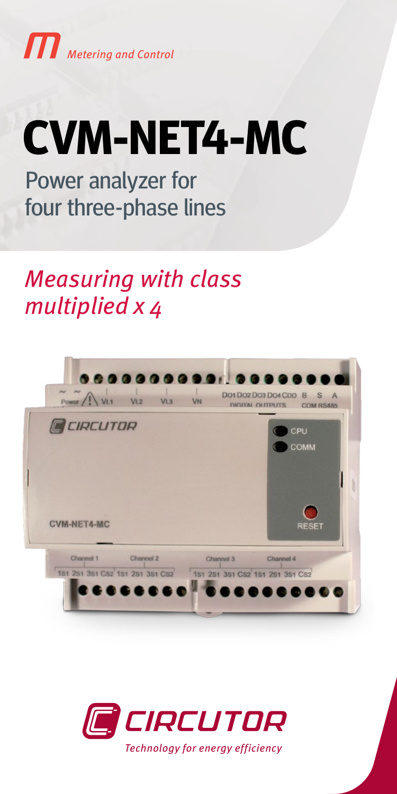

# **CVM-NET4-MC**

Power analyzer for four three-phase lines

Measuring with class multiplied x 4



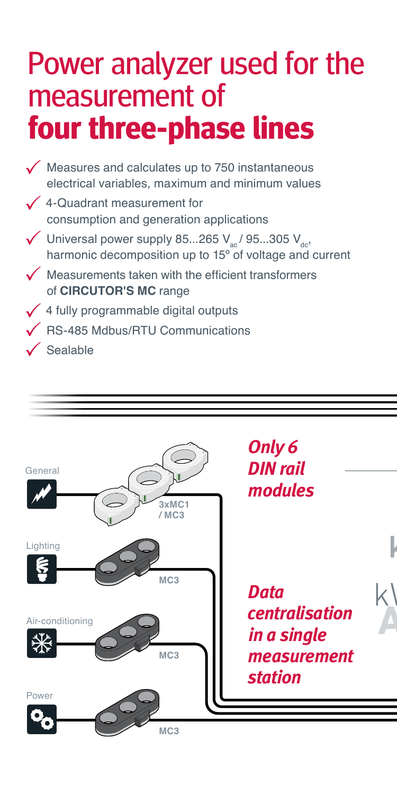# Power analyzer used for the measurement of **four three-phase lines**

- $\sqrt{\ }$  Measures and calculates up to 750 instantaneous electrical variables, maximum and minimum values  $\sqrt{4}$ -Quadrant measurement for consumption and generation applications  $\sqrt{\frac{1}{100}}$  Universal power supply 85...265 V<sub>ac</sub>/ 95...305 V<sub>dc</sub>, harmonic decomposition up to 15<sup>°</sup> of voltage and current  $\sqrt{\phantom{a}}$  Measurements taken with the efficient transformers of **CIRCUTOR'S MC** range  $\checkmark$  4 fully programmable digital outputs RS-485 Mdbus/RTU Communications
- $\sqrt{\ }$ Sealable

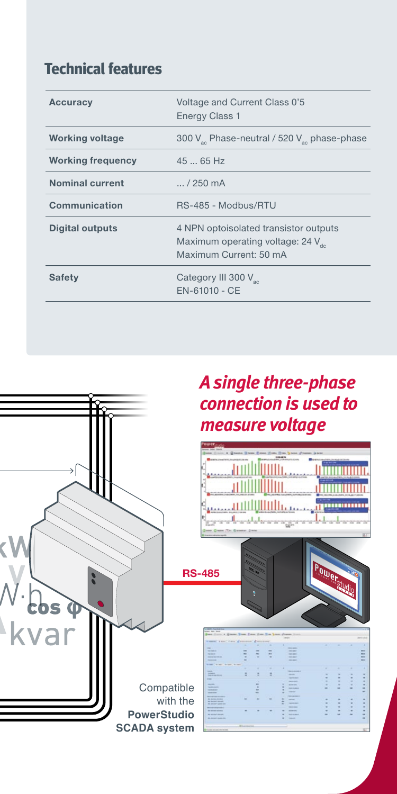## **Technical features**

| Accuracy                 | Voltage and Current Class 0'5<br><b>Energy Class 1</b>                                             |
|--------------------------|----------------------------------------------------------------------------------------------------|
| <b>Working voltage</b>   | 300 V <sub>3</sub> Phase-neutral / 520 V <sub>3</sub> phase-phase                                  |
| <b>Working frequency</b> | $4565$ Hz                                                                                          |
| <b>Nominal current</b>   | $ / 250$ mA                                                                                        |
| Communication            | RS-485 - Modbus/RTU                                                                                |
| Digital outputs          | 4 NPN optoisolated transistor outputs<br>Maximum operating voltage: 24 V<br>Maximum Current: 50 mA |
| Safety                   | Category III 300 V <sub>ac</sub><br>$FN-61010 - CF$                                                |